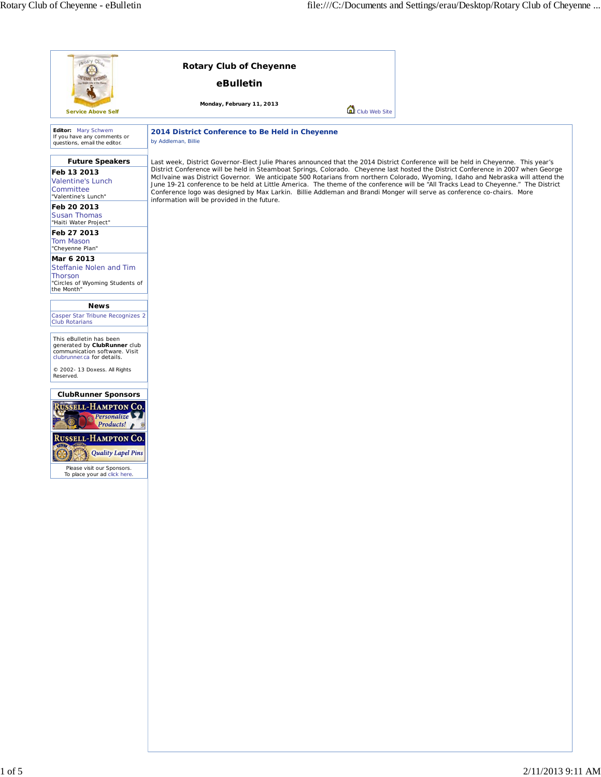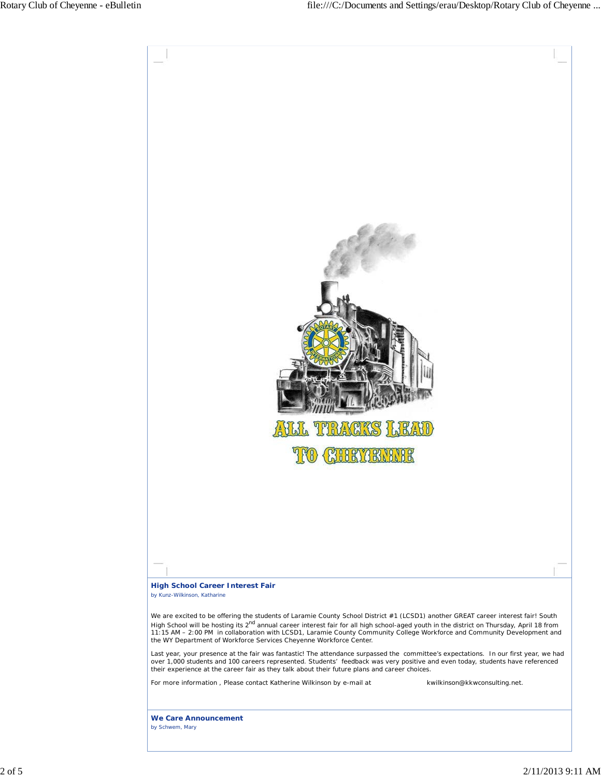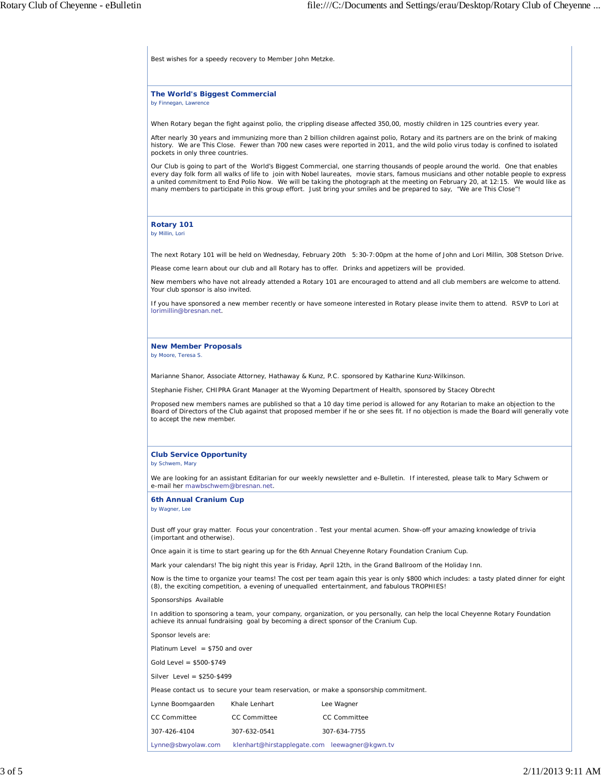Best wishes for a speedy recovery to Member John Metzke.

**The World's Biggest Commercial** *by Finnegan, Lawrence*

When Rotary began the fight against polio, the crippling disease affected 350,00, mostly children in 125 countries every year.

After nearly 30 years and immunizing more than 2 billion children against polio, Rotary and its partners are on the brink of making history. We are This Close. Fewer than 700 new cases were reported in 2011, and the wild polio virus today is confined to isolated pockets in only three countries.

Our Club is going to part of the World's Biggest Commercial, one starring thousands of people around the world. One that enables every day folk form all walks of life to join with Nobel laureates, movie stars, famous musicians and other notable people to express a united commitment to End Polio Now. We will be taking the photograph at the meeting on February 20, at 12:15. We would like as many members to participate in this group effort. Just bring your smiles and be prepared to say, "We are This Close"!

## **Rotary 101**

*by Millin, Lori*

The next Rotary 101 will be held on Wednesday, February 20th 5:30-7:00pm at the home of John and Lori Millin, 308 Stetson Drive.

Please come learn about our club and all Rotary has to offer. Drinks and appetizers will be provided.

New members who have not already attended a Rotary 101 are encouraged to attend and all club members are welcome to attend. Your club sponsor is also invited.

If you have sponsored a new member recently or have someone interested in Rotary please invite them to attend. RSVP to Lori at lorimillin@bresnan.net.

## **New Member Proposals**

*by Moore, Teresa S.*

Marianne Shanor, Associate Attorney, Hathaway & Kunz, P.C. sponsored by Katharine Kunz-Wilkinson.

Stephanie Fisher, CHIPRA Grant Manager at the Wyoming Department of Health, sponsored by Stacey Obrecht

Proposed new members names are published so that a 10 day time period is allowed for any Rotarian to make an objection to the Board of Directors of the Club against that proposed member if he or she sees fit. If no objection is made the Board will generally vote to accept the new member.

## **Club Service Opportunity**

*by Schwem, Mary*

We are looking for an assistant Editarian for our weekly newsletter and e-Bulletin. If interested, please talk to Mary Schwem or e-mail her mawbschwem@bresnan.net.

**6th Annual Cranium Cup** *by Wagner, Lee*

Dust off your gray matter. Focus your concentration . Test your mental acumen. Show-off your amazing knowledge of trivia (important and otherwise).

Once again it is time to start gearing up for the 6th Annual Cheyenne Rotary Foundation Cranium Cup.

Mark your calendars! The big night this year is Friday, April 12th, in the Grand Ballroom of the Holiday Inn.

Now is the time to organize your teams! The cost per team again this year is only \$800 which includes: a tasty plated dinner for eight (8), the exciting competition, a evening of unequalled entertainment, and fabulous TROPHIES!

Sponsorships Available

In addition to sponsoring a team, your company, organization, or you personally, can help the local Cheyenne Rotary Foundation achieve its annual fundraising goal by becoming a direct sponsor of the Cranium Cup.

Sponsor levels are:

Platinum Level = \$750 and over

Gold Level = \$500-\$749

Silver Level = \$250-\$499

Please contact us to secure your team reservation, or make a sponsorship commitment.

| Lynne Boomgaarden   | Khale Lenhart                                 | Lee Wagner          |
|---------------------|-----------------------------------------------|---------------------|
| <b>CC Committee</b> | <b>CC Committee</b>                           | <b>CC Committee</b> |
| 307-426-4104        | 307-632-0541                                  | 307-634-7755        |
| Lynne@sbwyolaw.com  | klenhart@hirstapplegate.com leewagner@kgwn.tv |                     |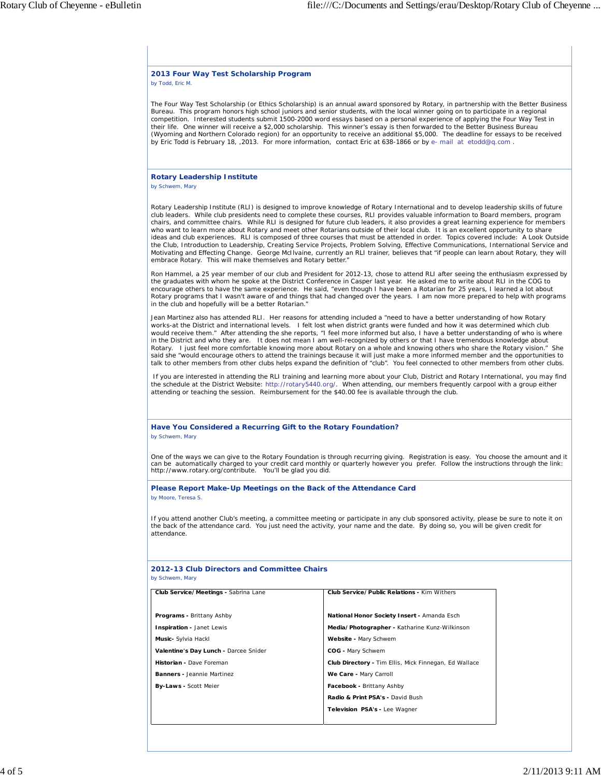| 2013 Four Way Test Scholarship Program<br>by Todd, Eric M.                                          |                                                                                                                                                                                                                                                                                                                                                                                                                                                                                                                                                                                                                                                                                                                                                                                                                                                                                                                                                                                   |  |
|-----------------------------------------------------------------------------------------------------|-----------------------------------------------------------------------------------------------------------------------------------------------------------------------------------------------------------------------------------------------------------------------------------------------------------------------------------------------------------------------------------------------------------------------------------------------------------------------------------------------------------------------------------------------------------------------------------------------------------------------------------------------------------------------------------------------------------------------------------------------------------------------------------------------------------------------------------------------------------------------------------------------------------------------------------------------------------------------------------|--|
|                                                                                                     | The Four Way Test Scholarship (or Ethics Scholarship) is an annual award sponsored by Rotary, in partnership with the Better Business<br>Bureau. This program honors high school juniors and senior students, with the local winner going on to participate in a regional<br>competition. Interested students submit 1500-2000 word essays based on a personal experience of applying the Four Way Test in<br>their life. One winner will receive a \$2,000 scholarship. This winner's essay is then forwarded to the Better Business Bureau<br>(Wyoming and Northern Colorado region) for an opportunity to receive an additional \$5,000. The deadline for essays to be received<br>by Eric Todd is February 18, 2013. For more information, contact Eric at 638-1866 or by e- mail at etodd@q.com.                                                                                                                                                                             |  |
| <b>Rotary Leadership Institute</b><br>by Schwem, Mary                                               |                                                                                                                                                                                                                                                                                                                                                                                                                                                                                                                                                                                                                                                                                                                                                                                                                                                                                                                                                                                   |  |
| embrace Rotary. This will make themselves and Rotary better."                                       | Rotary Leadership Institute (RLI) is designed to improve knowledge of Rotary International and to develop leadership skills of future<br>club leaders. While club presidents need to complete these courses, RLI provides valuable information to Board members, program<br>chairs, and committee chairs. While RLI is designed for future club leaders, it also provides a great learning experience for members<br>who want to learn more about Rotary and meet other Rotarians outside of their local club. It is an excellent opportunity to share<br>ideas and club experiences. RLI is composed of three courses that must be attended in order. Topics covered include: A Look Outside<br>the Club, Introduction to Leadership, Creating Service Projects, Problem Solving, Effective Communications, International Service and<br>Motivating and Effecting Change. George McIlvaine, currently an RLI trainer, believes that "if people can learn about Rotary, they will |  |
| in the club and hopefully will be a better Rotarian."                                               | Ron Hammel, a 25 year member of our club and President for 2012-13, chose to attend RLI after seeing the enthusiasm expressed by<br>the graduates with whom he spoke at the District Conference in Casper last year. He asked me to write about RLI in the COG to<br>encourage others to have the same experience. He said, "even though I have been a Rotarian for 25 years, I learned a lot about<br>Rotary programs that I wasn't aware of and things that had changed over the years. I am now more prepared to help with programs                                                                                                                                                                                                                                                                                                                                                                                                                                            |  |
|                                                                                                     | Jean Martinez also has attended RLI. Her reasons for attending included a "need to have a better understanding of how Rotary<br>works-at the District and international levels. I felt lost when district grants were funded and how it was determined which club<br>would receive them." After attending the she reports, "I feel more informed but also, I have a better understanding of who is where<br>in the District and who they are. It does not mean I am well-recognized by others or that I have tremendous knowledge about<br>Rotary. I just feel more comfortable knowing more about Rotary on a whole and knowing others who share the Rotary vision." She<br>said she "would encourage others to attend the trainings because it will just make a more informed member and the opportunities to<br>talk to other members from other clubs helps expand the definition of "club". You feel connected to other members from other clubs.                            |  |
| attending or teaching the session. Reimbursement for the \$40.00 fee is available through the club. | If you are interested in attending the RLI training and learning more about your Club, District and Rotary International, you may find<br>the schedule at the District Website: http://rotary5440.org/. When attending, our members frequently carpool with a group either                                                                                                                                                                                                                                                                                                                                                                                                                                                                                                                                                                                                                                                                                                        |  |
| Have You Considered a Recurring Gift to the Rotary Foundation?<br>by Schwem, Mary                   |                                                                                                                                                                                                                                                                                                                                                                                                                                                                                                                                                                                                                                                                                                                                                                                                                                                                                                                                                                                   |  |
|                                                                                                     |                                                                                                                                                                                                                                                                                                                                                                                                                                                                                                                                                                                                                                                                                                                                                                                                                                                                                                                                                                                   |  |
| http://www.rotary.org/contribute. You'll be glad you did.                                           | One of the ways we can give to the Rotary Foundation is through recurring giving. Registration is easy. You choose the amount and it<br>can be automatically charged to your credit card monthly or quarterly however you prefer. Follow the instructions through the link:                                                                                                                                                                                                                                                                                                                                                                                                                                                                                                                                                                                                                                                                                                       |  |
| Please Report Make-Up Meetings on the Back of the Attendance Card<br>by Moore, Teresa S.            |                                                                                                                                                                                                                                                                                                                                                                                                                                                                                                                                                                                                                                                                                                                                                                                                                                                                                                                                                                                   |  |
| attendance.                                                                                         | If you attend another Club's meeting, a committee meeting or participate in any club sponsored activity, please be sure to note it on<br>the back of the attendance card. You just need the activity, your name and the date. By doing so, you will be given credit for                                                                                                                                                                                                                                                                                                                                                                                                                                                                                                                                                                                                                                                                                                           |  |
| 2012-13 Club Directors and Committee Chairs<br>by Schwem, Mary                                      |                                                                                                                                                                                                                                                                                                                                                                                                                                                                                                                                                                                                                                                                                                                                                                                                                                                                                                                                                                                   |  |
| Club Service/Meetings - Sabrina Lane                                                                | <b>Club Service/Public Relations - Kim Withers</b>                                                                                                                                                                                                                                                                                                                                                                                                                                                                                                                                                                                                                                                                                                                                                                                                                                                                                                                                |  |
| Programs - Brittany Ashby                                                                           | National Honor Society Insert - Amanda Esch                                                                                                                                                                                                                                                                                                                                                                                                                                                                                                                                                                                                                                                                                                                                                                                                                                                                                                                                       |  |
| Inspiration - Janet Lewis                                                                           | Media/Photographer - Katharine Kunz-Wilkinson                                                                                                                                                                                                                                                                                                                                                                                                                                                                                                                                                                                                                                                                                                                                                                                                                                                                                                                                     |  |
| Music- Sylvia Hackl                                                                                 | Website - Mary Schwem                                                                                                                                                                                                                                                                                                                                                                                                                                                                                                                                                                                                                                                                                                                                                                                                                                                                                                                                                             |  |
| Valentine's Day Lunch - Darcee Snider                                                               | COG - Mary Schwem                                                                                                                                                                                                                                                                                                                                                                                                                                                                                                                                                                                                                                                                                                                                                                                                                                                                                                                                                                 |  |
| Historian - Dave Foreman                                                                            | <b>Club Directory - Tim Ellis, Mick Finnegan, Ed Wallace</b>                                                                                                                                                                                                                                                                                                                                                                                                                                                                                                                                                                                                                                                                                                                                                                                                                                                                                                                      |  |
| <b>Banners</b> - Jeannie Martinez                                                                   | We Care - Mary Carroll                                                                                                                                                                                                                                                                                                                                                                                                                                                                                                                                                                                                                                                                                                                                                                                                                                                                                                                                                            |  |
| By-Laws - Scott Meier                                                                               | Facebook - Brittany Ashby                                                                                                                                                                                                                                                                                                                                                                                                                                                                                                                                                                                                                                                                                                                                                                                                                                                                                                                                                         |  |
|                                                                                                     | Radio & Print PSA's - David Bush<br>Television PSA's - Lee Wagner                                                                                                                                                                                                                                                                                                                                                                                                                                                                                                                                                                                                                                                                                                                                                                                                                                                                                                                 |  |